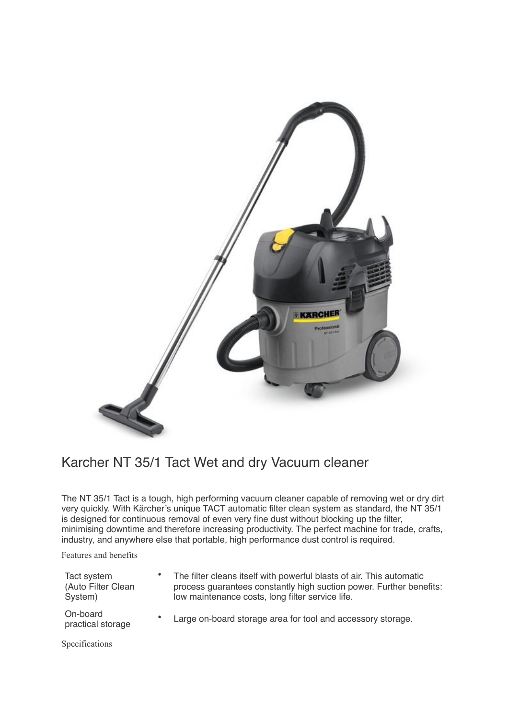

## Karcher NT 35/1 Tact Wet and dry Vacuum cleaner

The NT 35/1 Tact is a tough, high performing vacuum cleaner capable of removing wet or dry dirt very quickly. With Kärcher's unique TACT automatic filter clean system as standard, the NT 35/1 is designed for continuous removal of even very fine dust without blocking up the filter, minimising downtime and therefore increasing productivity. The perfect machine for trade, crafts, industry, and anywhere else that portable, high performance dust control is required.

Features and benefits

| Tact system<br>(Auto Filter Clean<br>System) | The filter cleans itself with powerful blasts of air. This automatic<br>process guarantees constantly high suction power. Further benefits:<br>low maintenance costs, long filter service life. |
|----------------------------------------------|-------------------------------------------------------------------------------------------------------------------------------------------------------------------------------------------------|
| On-board<br>practical storage                | Large on-board storage area for tool and accessory storage.                                                                                                                                     |

Specifications